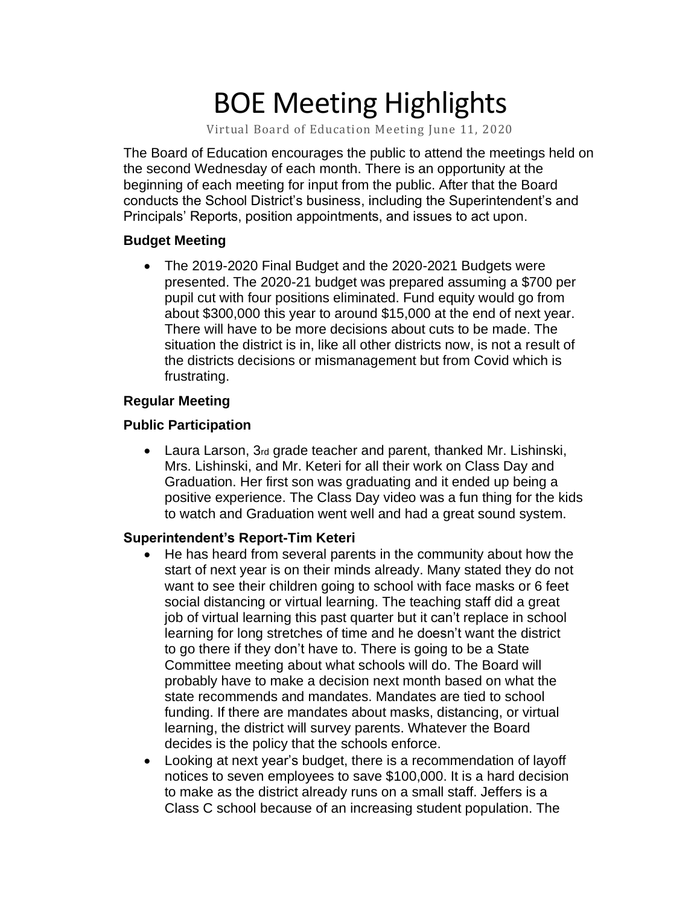# BOE Meeting Highlights

Virtual Board of Education Meeting June 11, 2020

 The Board of Education encourages the public to attend the meetings held on the second Wednesday of each month. There is an opportunity at the beginning of each meeting for input from the public. After that the Board conducts the School District's business, including the Superintendent's and Principals' Reports, position appointments, and issues to act upon.

#### **Budget Meeting**

 • The 2019-2020 Final Budget and the 2020-2021 Budgets were presented. The 2020-21 budget was prepared assuming a \$700 per pupil cut with four positions eliminated. Fund equity would go from about \$300,000 this year to around \$15,000 at the end of next year. There will have to be more decisions about cuts to be made. The situation the district is in, like all other districts now, is not a result of the districts decisions or mismanagement but from Covid which is frustrating.

#### **Regular Meeting**

#### **Public Participation**

 • Laura Larson, 3rd grade teacher and parent, thanked Mr. Lishinski, Mrs. Lishinski, and Mr. Keteri for all their work on Class Day and Graduation. Her first son was graduating and it ended up being a positive experience. The Class Day video was a fun thing for the kids to watch and Graduation went well and had a great sound system.

#### **Superintendent's Report-Tim Keteri**

- He has heard from several parents in the community about how the start of next year is on their minds already. Many stated they do not want to see their children going to school with face masks or 6 feet social distancing or virtual learning. The teaching staff did a great job of virtual learning this past quarter but it can't replace in school learning for long stretches of time and he doesn't want the district to go there if they don't have to. There is going to be a State Committee meeting about what schools will do. The Board will probably have to make a decision next month based on what the state recommends and mandates. Mandates are tied to school funding. If there are mandates about masks, distancing, or virtual learning, the district will survey parents. Whatever the Board decides is the policy that the schools enforce.
- Looking at next year's budget, there is a recommendation of layoff notices to seven employees to save \$100,000. It is a hard decision to make as the district already runs on a small staff. Jeffers is a Class C school because of an increasing student population. The